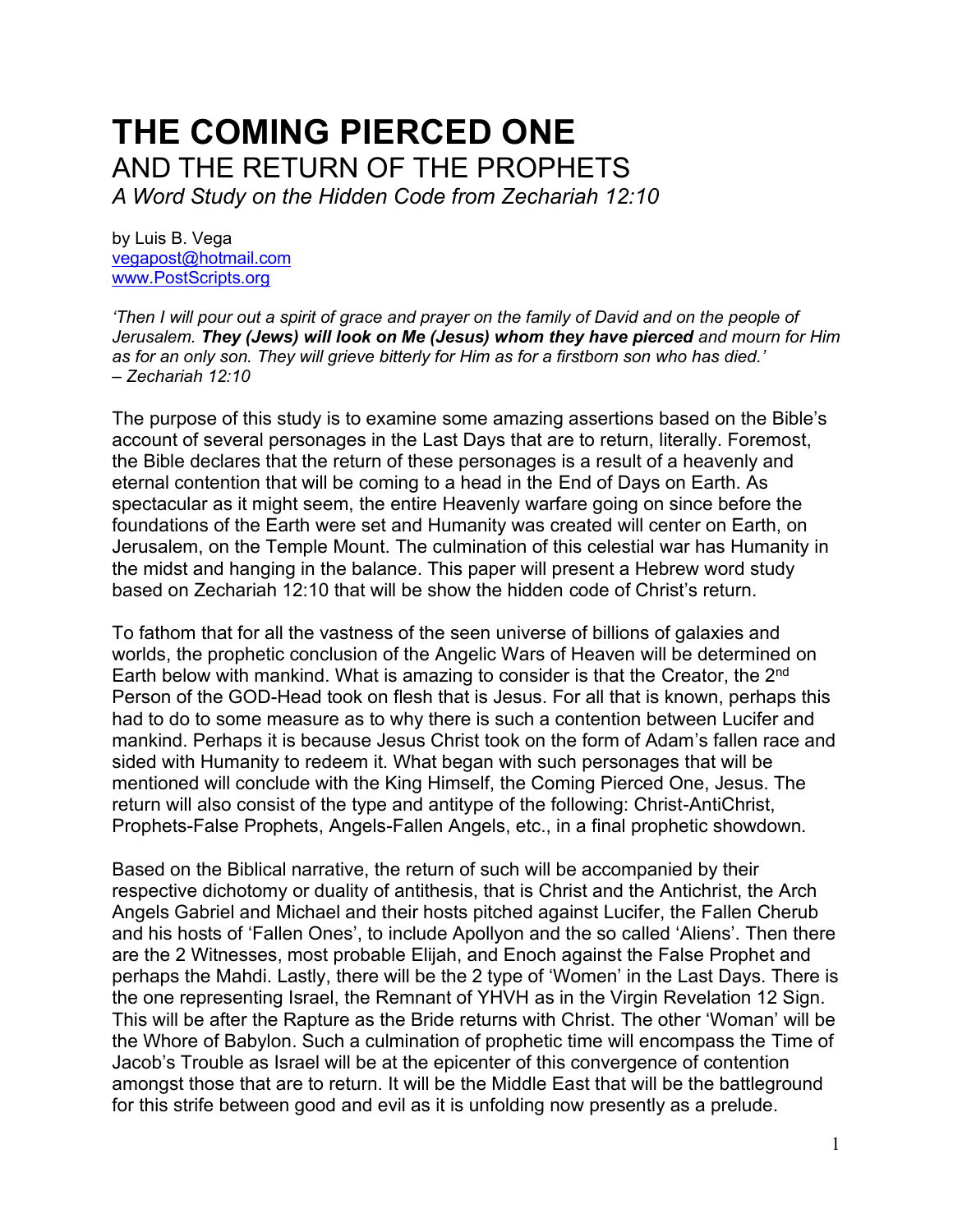# **THE COMING PIERCED ONE** AND THE RETURN OF THE PROPHETS

*A Word Study on the Hidden Code from Zechariah 12:10*

by Luis B. Vega [vegapost@hotmail.com](mailto:vegapost@hotmail.com) [www.PostScripts.org](http://www.postscripts.org/)

*'Then I will pour out a spirit of grace and prayer on the family of David and on the people of Jerusalem. They (Jews) will look on Me (Jesus) whom they have pierced and mourn for Him as for an only son. They will grieve bitterly for Him as for a firstborn son who has died.' – Zechariah 12:10*

The purpose of this study is to examine some amazing assertions based on the Bible's account of several personages in the Last Days that are to return, literally. Foremost, the Bible declares that the return of these personages is a result of a heavenly and eternal contention that will be coming to a head in the End of Days on Earth. As spectacular as it might seem, the entire Heavenly warfare going on since before the foundations of the Earth were set and Humanity was created will center on Earth, on Jerusalem, on the Temple Mount. The culmination of this celestial war has Humanity in the midst and hanging in the balance. This paper will present a Hebrew word study based on Zechariah 12:10 that will be show the hidden code of Christ's return.

To fathom that for all the vastness of the seen universe of billions of galaxies and worlds, the prophetic conclusion of the Angelic Wars of Heaven will be determined on Earth below with mankind. What is amazing to consider is that the Creator, the 2nd Person of the GOD-Head took on flesh that is Jesus. For all that is known, perhaps this had to do to some measure as to why there is such a contention between Lucifer and mankind. Perhaps it is because Jesus Christ took on the form of Adam's fallen race and sided with Humanity to redeem it. What began with such personages that will be mentioned will conclude with the King Himself, the Coming Pierced One, Jesus. The return will also consist of the type and antitype of the following: Christ-AntiChrist, Prophets-False Prophets, Angels-Fallen Angels, etc., in a final prophetic showdown.

Based on the Biblical narrative, the return of such will be accompanied by their respective dichotomy or duality of antithesis, that is Christ and the Antichrist, the Arch Angels Gabriel and Michael and their hosts pitched against Lucifer, the Fallen Cherub and his hosts of 'Fallen Ones', to include Apollyon and the so called 'Aliens'. Then there are the 2 Witnesses, most probable Elijah, and Enoch against the False Prophet and perhaps the Mahdi. Lastly, there will be the 2 type of 'Women' in the Last Days. There is the one representing Israel, the Remnant of YHVH as in the Virgin Revelation 12 Sign. This will be after the Rapture as the Bride returns with Christ. The other 'Woman' will be the Whore of Babylon. Such a culmination of prophetic time will encompass the Time of Jacob's Trouble as Israel will be at the epicenter of this convergence of contention amongst those that are to return. It will be the Middle East that will be the battleground for this strife between good and evil as it is unfolding now presently as a prelude.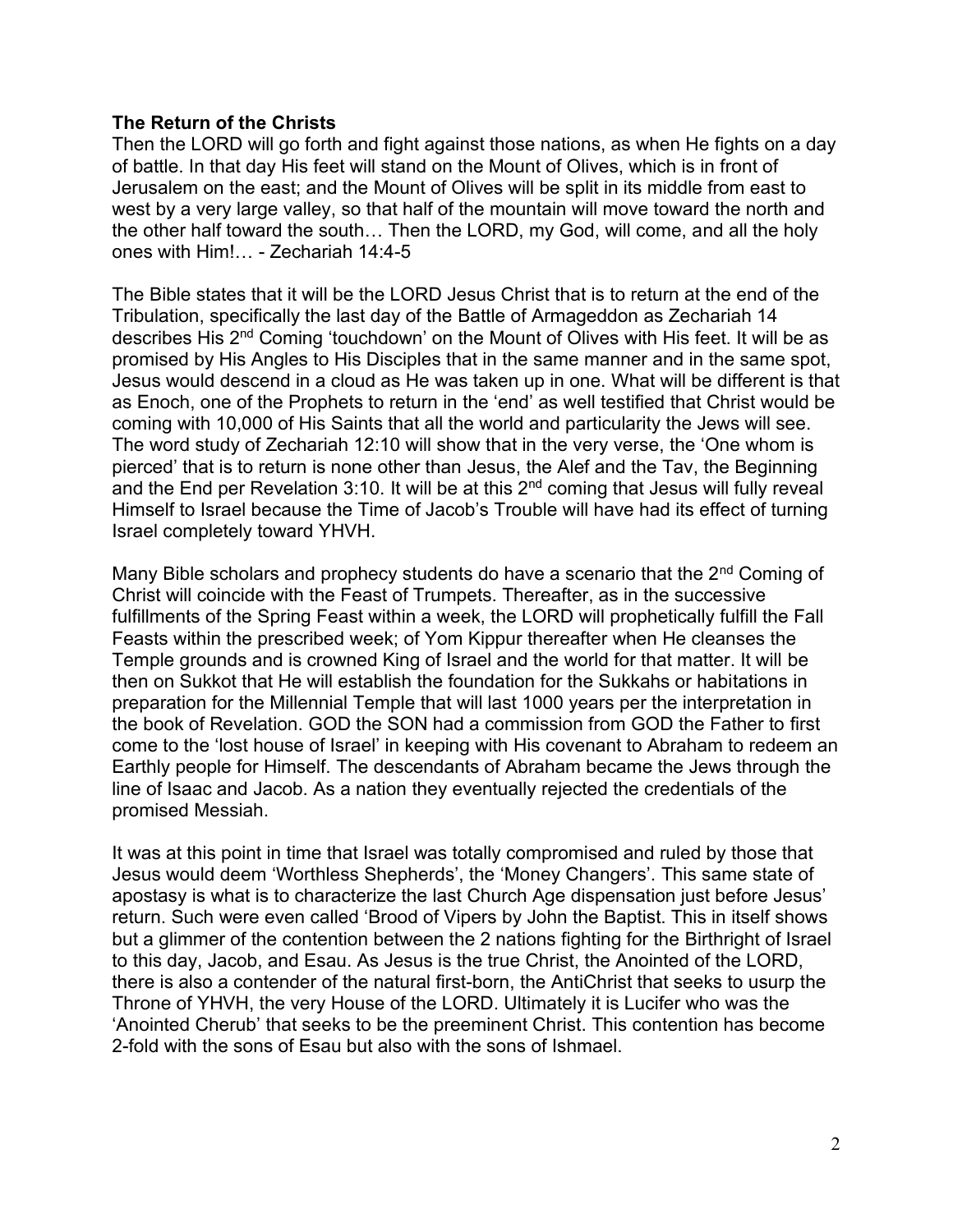## **The Return of the Christs**

Then the LORD will go forth and fight against those nations, as when He fights on a day of battle. In that day His feet will stand on the Mount of Olives, which is in front of Jerusalem on the east; and the Mount of Olives will be split in its middle from east to west by a very large valley, so that half of the mountain will move toward the north and the other half toward the south… Then the LORD, my God, will come, and all the holy ones with Him!… - Zechariah 14:4-5

The Bible states that it will be the LORD Jesus Christ that is to return at the end of the Tribulation, specifically the last day of the Battle of Armageddon as Zechariah 14 describes His 2nd Coming 'touchdown' on the Mount of Olives with His feet. It will be as promised by His Angles to His Disciples that in the same manner and in the same spot, Jesus would descend in a cloud as He was taken up in one. What will be different is that as Enoch, one of the Prophets to return in the 'end' as well testified that Christ would be coming with 10,000 of His Saints that all the world and particularity the Jews will see. The word study of Zechariah 12:10 will show that in the very verse, the 'One whom is pierced' that is to return is none other than Jesus, the Alef and the Tav, the Beginning and the End per Revelation 3:10. It will be at this  $2<sup>nd</sup>$  coming that Jesus will fully reveal Himself to Israel because the Time of Jacob's Trouble will have had its effect of turning Israel completely toward YHVH.

Many Bible scholars and prophecy students do have a scenario that the 2<sup>nd</sup> Coming of Christ will coincide with the Feast of Trumpets. Thereafter, as in the successive fulfillments of the Spring Feast within a week, the LORD will prophetically fulfill the Fall Feasts within the prescribed week; of Yom Kippur thereafter when He cleanses the Temple grounds and is crowned King of Israel and the world for that matter. It will be then on Sukkot that He will establish the foundation for the Sukkahs or habitations in preparation for the Millennial Temple that will last 1000 years per the interpretation in the book of Revelation. GOD the SON had a commission from GOD the Father to first come to the 'lost house of Israel' in keeping with His covenant to Abraham to redeem an Earthly people for Himself. The descendants of Abraham became the Jews through the line of Isaac and Jacob. As a nation they eventually rejected the credentials of the promised Messiah.

It was at this point in time that Israel was totally compromised and ruled by those that Jesus would deem 'Worthless Shepherds', the 'Money Changers'. This same state of apostasy is what is to characterize the last Church Age dispensation just before Jesus' return. Such were even called 'Brood of Vipers by John the Baptist. This in itself shows but a glimmer of the contention between the 2 nations fighting for the Birthright of Israel to this day, Jacob, and Esau. As Jesus is the true Christ, the Anointed of the LORD, there is also a contender of the natural first-born, the AntiChrist that seeks to usurp the Throne of YHVH, the very House of the LORD. Ultimately it is Lucifer who was the 'Anointed Cherub' that seeks to be the preeminent Christ. This contention has become 2-fold with the sons of Esau but also with the sons of Ishmael.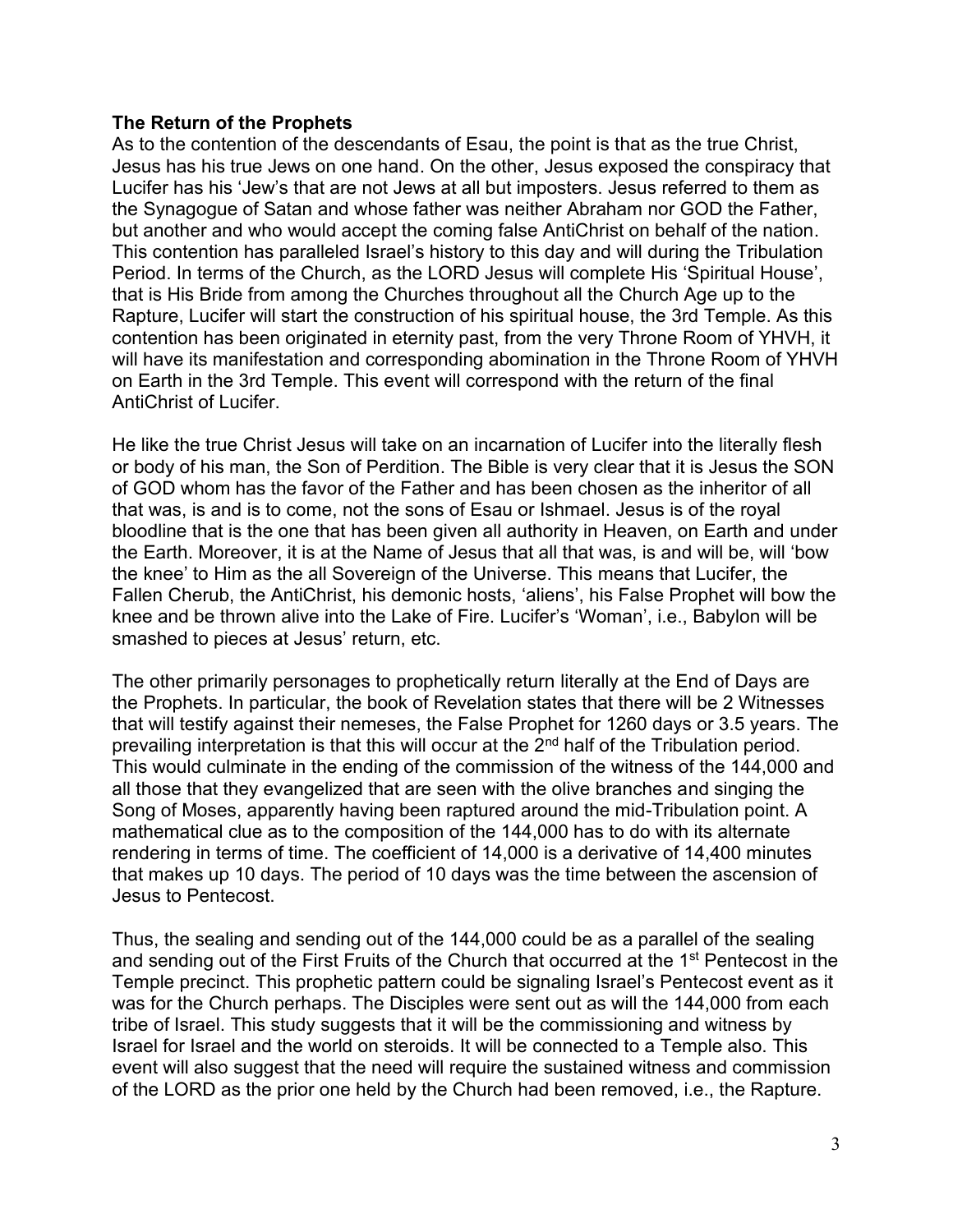## **The Return of the Prophets**

As to the contention of the descendants of Esau, the point is that as the true Christ, Jesus has his true Jews on one hand. On the other, Jesus exposed the conspiracy that Lucifer has his 'Jew's that are not Jews at all but imposters. Jesus referred to them as the Synagogue of Satan and whose father was neither Abraham nor GOD the Father, but another and who would accept the coming false AntiChrist on behalf of the nation. This contention has paralleled Israel's history to this day and will during the Tribulation Period. In terms of the Church, as the LORD Jesus will complete His 'Spiritual House', that is His Bride from among the Churches throughout all the Church Age up to the Rapture, Lucifer will start the construction of his spiritual house, the 3rd Temple. As this contention has been originated in eternity past, from the very Throne Room of YHVH, it will have its manifestation and corresponding abomination in the Throne Room of YHVH on Earth in the 3rd Temple. This event will correspond with the return of the final AntiChrist of Lucifer.

He like the true Christ Jesus will take on an incarnation of Lucifer into the literally flesh or body of his man, the Son of Perdition. The Bible is very clear that it is Jesus the SON of GOD whom has the favor of the Father and has been chosen as the inheritor of all that was, is and is to come, not the sons of Esau or Ishmael. Jesus is of the royal bloodline that is the one that has been given all authority in Heaven, on Earth and under the Earth. Moreover, it is at the Name of Jesus that all that was, is and will be, will 'bow the knee' to Him as the all Sovereign of the Universe. This means that Lucifer, the Fallen Cherub, the AntiChrist, his demonic hosts, 'aliens', his False Prophet will bow the knee and be thrown alive into the Lake of Fire. Lucifer's 'Woman', i.e., Babylon will be smashed to pieces at Jesus' return, etc.

The other primarily personages to prophetically return literally at the End of Days are the Prophets. In particular, the book of Revelation states that there will be 2 Witnesses that will testify against their nemeses, the False Prophet for 1260 days or 3.5 years. The prevailing interpretation is that this will occur at the 2nd half of the Tribulation period. This would culminate in the ending of the commission of the witness of the 144,000 and all those that they evangelized that are seen with the olive branches and singing the Song of Moses, apparently having been raptured around the mid-Tribulation point. A mathematical clue as to the composition of the 144,000 has to do with its alternate rendering in terms of time. The coefficient of 14,000 is a derivative of 14,400 minutes that makes up 10 days. The period of 10 days was the time between the ascension of Jesus to Pentecost.

Thus, the sealing and sending out of the 144,000 could be as a parallel of the sealing and sending out of the First Fruits of the Church that occurred at the 1<sup>st</sup> Pentecost in the Temple precinct. This prophetic pattern could be signaling Israel's Pentecost event as it was for the Church perhaps. The Disciples were sent out as will the 144,000 from each tribe of Israel. This study suggests that it will be the commissioning and witness by Israel for Israel and the world on steroids. It will be connected to a Temple also. This event will also suggest that the need will require the sustained witness and commission of the LORD as the prior one held by the Church had been removed, i.e., the Rapture.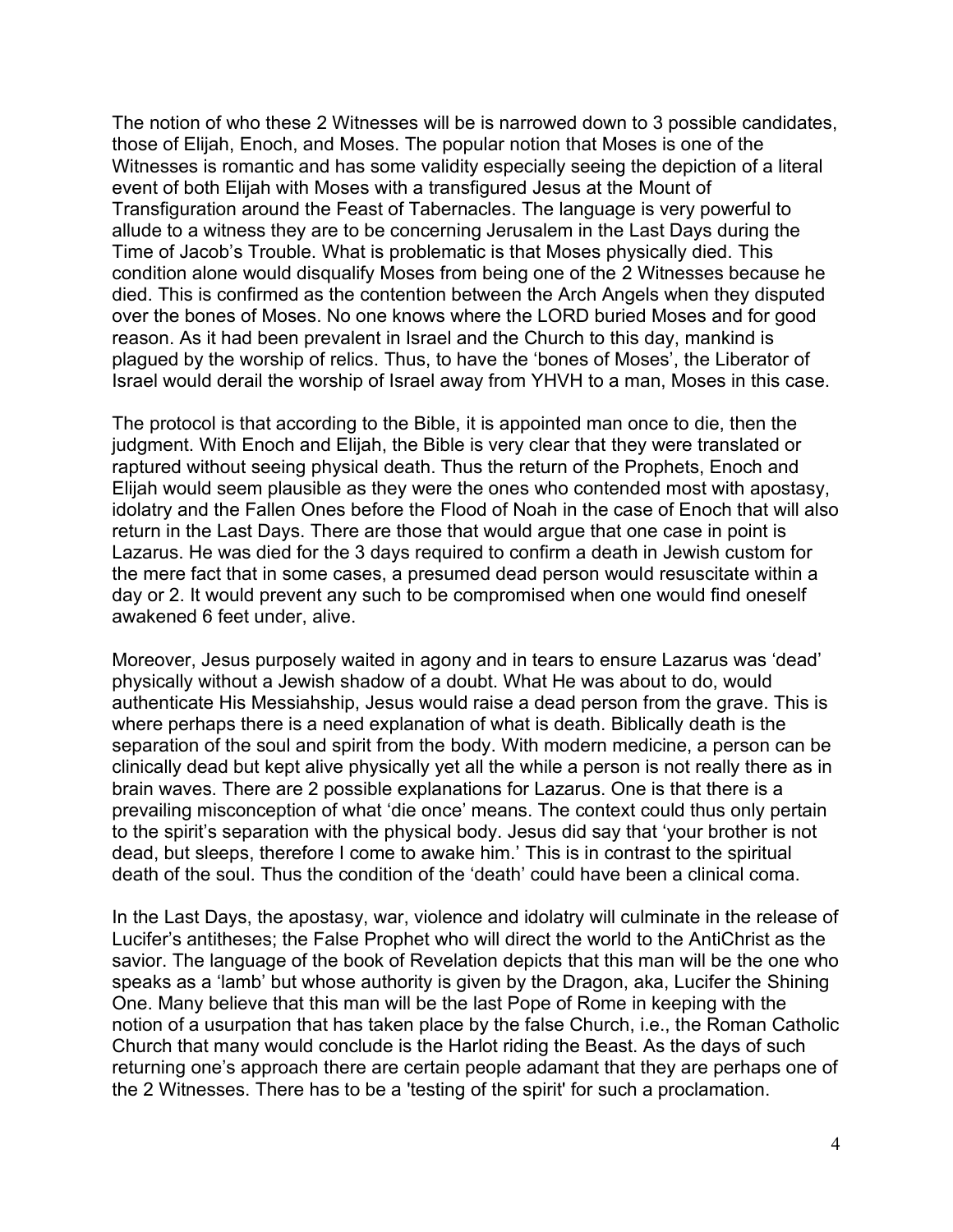The notion of who these 2 Witnesses will be is narrowed down to 3 possible candidates, those of Elijah, Enoch, and Moses. The popular notion that Moses is one of the Witnesses is romantic and has some validity especially seeing the depiction of a literal event of both Elijah with Moses with a transfigured Jesus at the Mount of Transfiguration around the Feast of Tabernacles. The language is very powerful to allude to a witness they are to be concerning Jerusalem in the Last Days during the Time of Jacob's Trouble. What is problematic is that Moses physically died. This condition alone would disqualify Moses from being one of the 2 Witnesses because he died. This is confirmed as the contention between the Arch Angels when they disputed over the bones of Moses. No one knows where the LORD buried Moses and for good reason. As it had been prevalent in Israel and the Church to this day, mankind is plagued by the worship of relics. Thus, to have the 'bones of Moses', the Liberator of Israel would derail the worship of Israel away from YHVH to a man, Moses in this case.

The protocol is that according to the Bible, it is appointed man once to die, then the judgment. With Enoch and Elijah, the Bible is very clear that they were translated or raptured without seeing physical death. Thus the return of the Prophets, Enoch and Elijah would seem plausible as they were the ones who contended most with apostasy, idolatry and the Fallen Ones before the Flood of Noah in the case of Enoch that will also return in the Last Days. There are those that would argue that one case in point is Lazarus. He was died for the 3 days required to confirm a death in Jewish custom for the mere fact that in some cases, a presumed dead person would resuscitate within a day or 2. It would prevent any such to be compromised when one would find oneself awakened 6 feet under, alive.

Moreover, Jesus purposely waited in agony and in tears to ensure Lazarus was 'dead' physically without a Jewish shadow of a doubt. What He was about to do, would authenticate His Messiahship, Jesus would raise a dead person from the grave. This is where perhaps there is a need explanation of what is death. Biblically death is the separation of the soul and spirit from the body. With modern medicine, a person can be clinically dead but kept alive physically yet all the while a person is not really there as in brain waves. There are 2 possible explanations for Lazarus. One is that there is a prevailing misconception of what 'die once' means. The context could thus only pertain to the spirit's separation with the physical body. Jesus did say that 'your brother is not dead, but sleeps, therefore I come to awake him.' This is in contrast to the spiritual death of the soul. Thus the condition of the 'death' could have been a clinical coma.

In the Last Days, the apostasy, war, violence and idolatry will culminate in the release of Lucifer's antitheses; the False Prophet who will direct the world to the AntiChrist as the savior. The language of the book of Revelation depicts that this man will be the one who speaks as a 'lamb' but whose authority is given by the Dragon, aka, Lucifer the Shining One. Many believe that this man will be the last Pope of Rome in keeping with the notion of a usurpation that has taken place by the false Church, i.e., the Roman Catholic Church that many would conclude is the Harlot riding the Beast. As the days of such returning one's approach there are certain people adamant that they are perhaps one of the 2 Witnesses. There has to be a 'testing of the spirit' for such a proclamation.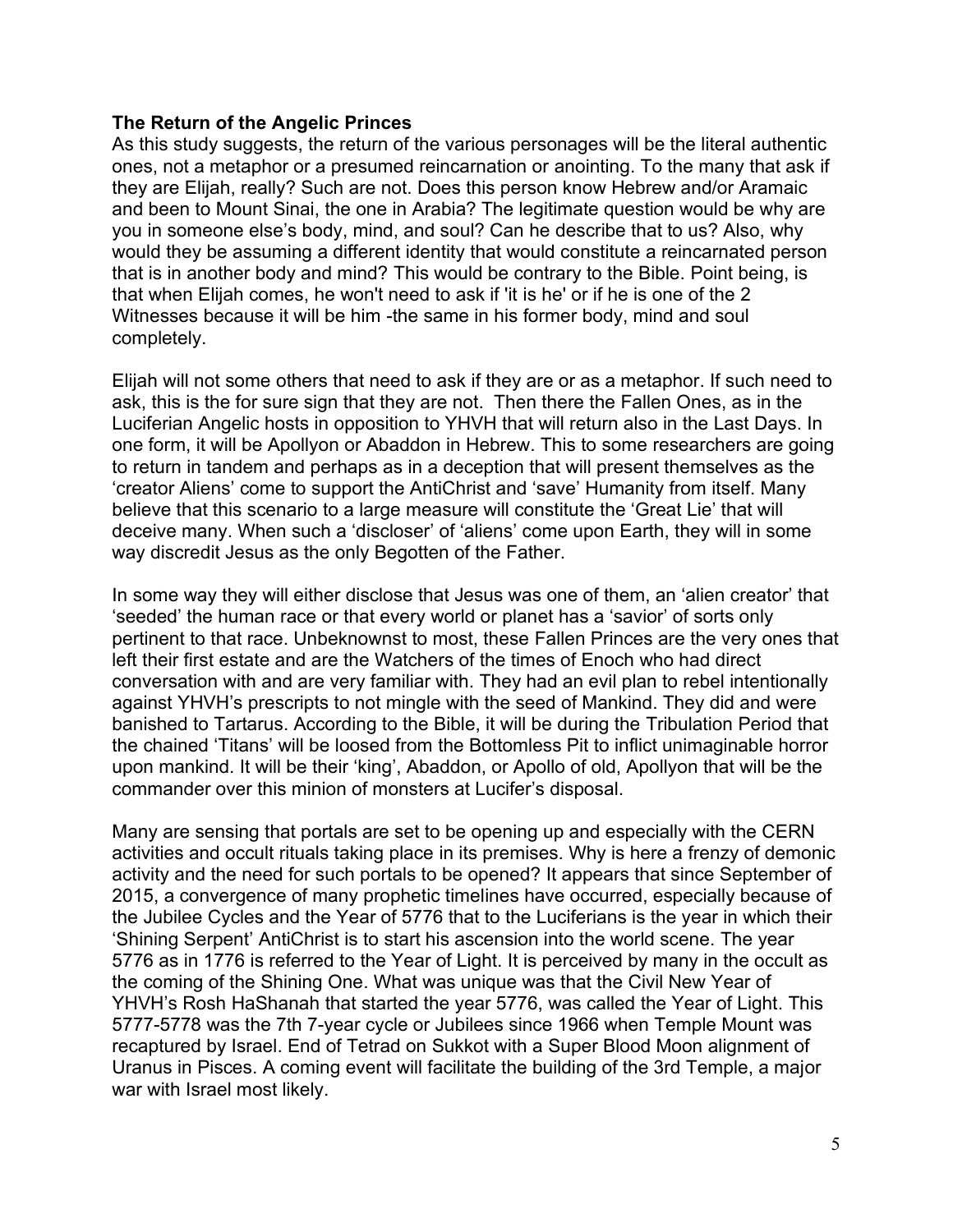## **The Return of the Angelic Princes**

As this study suggests, the return of the various personages will be the literal authentic ones, not a metaphor or a presumed reincarnation or anointing. To the many that ask if they are Elijah, really? Such are not. Does this person know Hebrew and/or Aramaic and been to Mount Sinai, the one in Arabia? The legitimate question would be why are you in someone else's body, mind, and soul? Can he describe that to us? Also, why would they be assuming a different identity that would constitute a reincarnated person that is in another body and mind? This would be contrary to the Bible. Point being, is that when Elijah comes, he won't need to ask if 'it is he' or if he is one of the 2 Witnesses because it will be him -the same in his former body, mind and soul completely.

Elijah will not some others that need to ask if they are or as a metaphor. If such need to ask, this is the for sure sign that they are not. Then there the Fallen Ones, as in the Luciferian Angelic hosts in opposition to YHVH that will return also in the Last Days. In one form, it will be Apollyon or Abaddon in Hebrew. This to some researchers are going to return in tandem and perhaps as in a deception that will present themselves as the 'creator Aliens' come to support the AntiChrist and 'save' Humanity from itself. Many believe that this scenario to a large measure will constitute the 'Great Lie' that will deceive many. When such a 'discloser' of 'aliens' come upon Earth, they will in some way discredit Jesus as the only Begotten of the Father.

In some way they will either disclose that Jesus was one of them, an 'alien creator' that 'seeded' the human race or that every world or planet has a 'savior' of sorts only pertinent to that race. Unbeknownst to most, these Fallen Princes are the very ones that left their first estate and are the Watchers of the times of Enoch who had direct conversation with and are very familiar with. They had an evil plan to rebel intentionally against YHVH's prescripts to not mingle with the seed of Mankind. They did and were banished to Tartarus. According to the Bible, it will be during the Tribulation Period that the chained 'Titans' will be loosed from the Bottomless Pit to inflict unimaginable horror upon mankind. It will be their 'king', Abaddon, or Apollo of old, Apollyon that will be the commander over this minion of monsters at Lucifer's disposal.

Many are sensing that portals are set to be opening up and especially with the CERN activities and occult rituals taking place in its premises. Why is here a frenzy of demonic activity and the need for such portals to be opened? It appears that since September of 2015, a convergence of many prophetic timelines have occurred, especially because of the Jubilee Cycles and the Year of 5776 that to the Luciferians is the year in which their 'Shining Serpent' AntiChrist is to start his ascension into the world scene. The year 5776 as in 1776 is referred to the Year of Light. It is perceived by many in the occult as the coming of the Shining One. What was unique was that the Civil New Year of YHVH's Rosh HaShanah that started the year 5776, was called the Year of Light. This 5777-5778 was the 7th 7-year cycle or Jubilees since 1966 when Temple Mount was recaptured by Israel. End of Tetrad on Sukkot with a Super Blood Moon alignment of Uranus in Pisces. A coming event will facilitate the building of the 3rd Temple, a major war with Israel most likely.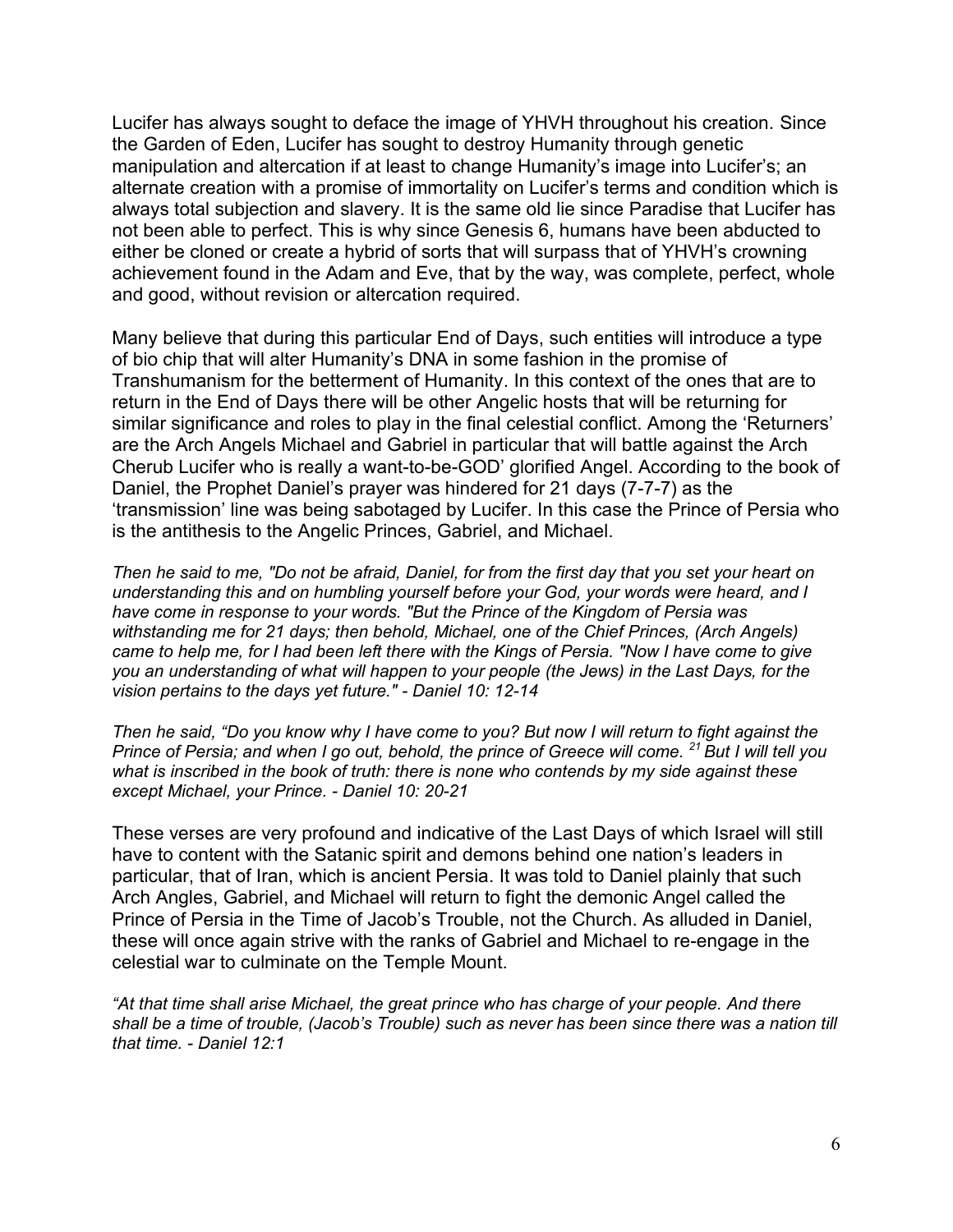Lucifer has always sought to deface the image of YHVH throughout his creation. Since the Garden of Eden, Lucifer has sought to destroy Humanity through genetic manipulation and altercation if at least to change Humanity's image into Lucifer's; an alternate creation with a promise of immortality on Lucifer's terms and condition which is always total subjection and slavery. It is the same old lie since Paradise that Lucifer has not been able to perfect. This is why since Genesis 6, humans have been abducted to either be cloned or create a hybrid of sorts that will surpass that of YHVH's crowning achievement found in the Adam and Eve, that by the way, was complete, perfect, whole and good, without revision or altercation required.

Many believe that during this particular End of Days, such entities will introduce a type of bio chip that will alter Humanity's DNA in some fashion in the promise of Transhumanism for the betterment of Humanity. In this context of the ones that are to return in the End of Days there will be other Angelic hosts that will be returning for similar significance and roles to play in the final celestial conflict. Among the 'Returners' are the Arch Angels Michael and Gabriel in particular that will battle against the Arch Cherub Lucifer who is really a want-to-be-GOD' glorified Angel. According to the book of Daniel, the Prophet Daniel's prayer was hindered for 21 days (7-7-7) as the 'transmission' line was being sabotaged by Lucifer. In this case the Prince of Persia who is the antithesis to the Angelic Princes, Gabriel, and Michael.

*Then he said to me, "Do not be afraid, Daniel, for from the first day that you set your heart on understanding this and on humbling yourself before your God, your words were heard, and I have come in response to your words. "But the Prince of the Kingdom of Persia was withstanding me for 21 days; then behold, Michael, one of the Chief Princes, (Arch Angels) came to help me, for I had been left there with the Kings of Persia. "Now I have come to give you an understanding of what will happen to your people (the Jews) in the Last Days, for the vision pertains to the days yet future." - Daniel 10: 12-14*

*Then he said, "Do you know why I have come to you? But now I will return to fight against the Prince of Persia; and when I go out, behold, the prince of Greece will come. <sup>21</sup> But I will tell you what is inscribed in the book of truth: there is none who contends by my side against these except Michael, your Prince. - Daniel 10: 20-21*

These verses are very profound and indicative of the Last Days of which Israel will still have to content with the Satanic spirit and demons behind one nation's leaders in particular, that of Iran, which is ancient Persia. It was told to Daniel plainly that such Arch Angles, Gabriel, and Michael will return to fight the demonic Angel called the Prince of Persia in the Time of Jacob's Trouble, not the Church. As alluded in Daniel, these will once again strive with the ranks of Gabriel and Michael to re-engage in the celestial war to culminate on the Temple Mount.

*"At that time shall arise Michael, the great prince who has charge of your people. And there shall be a time of trouble, (Jacob's Trouble) such as never has been since there was a nation till that time. - Daniel 12:1*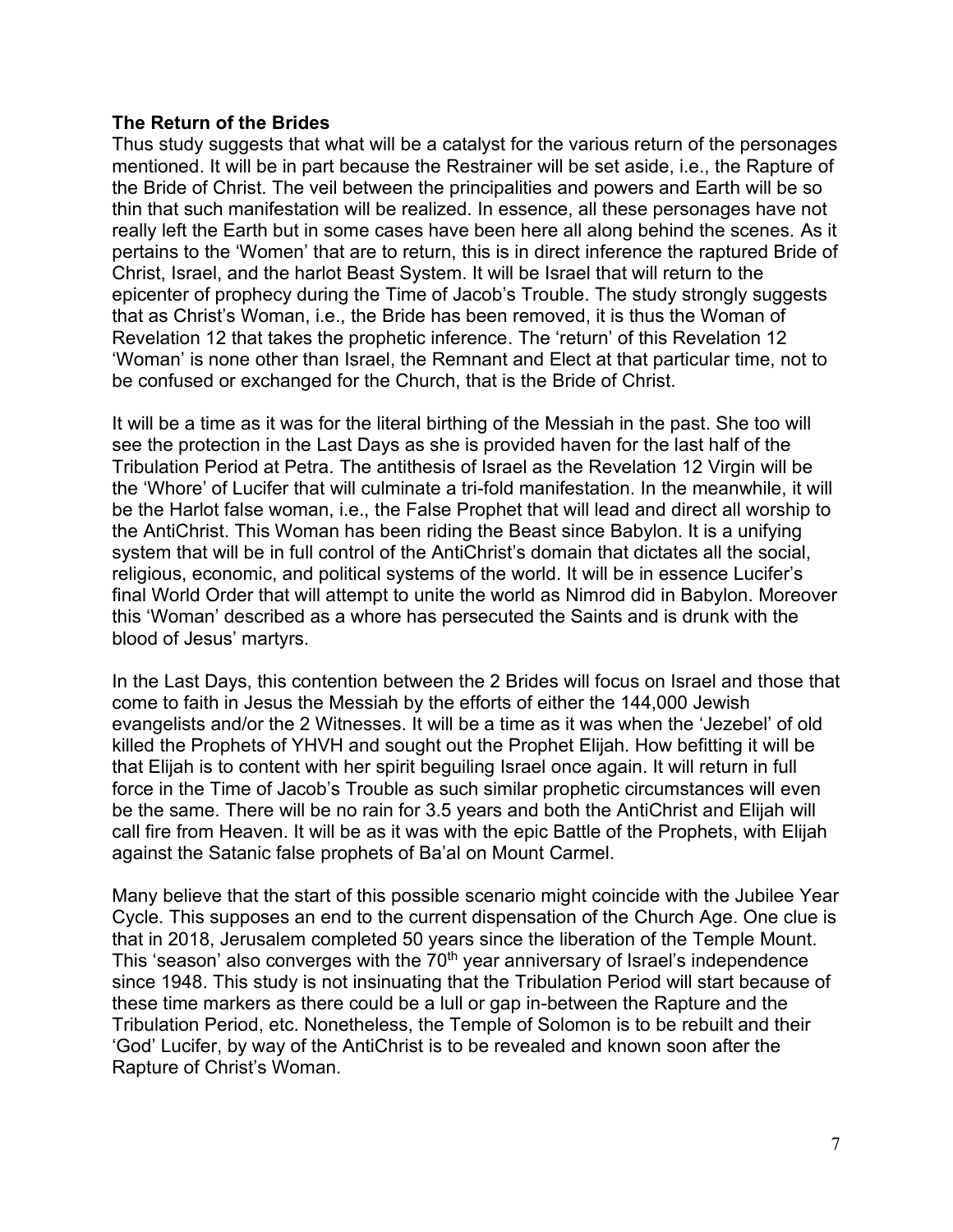## **The Return of the Brides**

Thus study suggests that what will be a catalyst for the various return of the personages mentioned. It will be in part because the Restrainer will be set aside, i.e., the Rapture of the Bride of Christ. The veil between the principalities and powers and Earth will be so thin that such manifestation will be realized. In essence, all these personages have not really left the Earth but in some cases have been here all along behind the scenes. As it pertains to the 'Women' that are to return, this is in direct inference the raptured Bride of Christ, Israel, and the harlot Beast System. It will be Israel that will return to the epicenter of prophecy during the Time of Jacob's Trouble. The study strongly suggests that as Christ's Woman, i.e., the Bride has been removed, it is thus the Woman of Revelation 12 that takes the prophetic inference. The 'return' of this Revelation 12 'Woman' is none other than Israel, the Remnant and Elect at that particular time, not to be confused or exchanged for the Church, that is the Bride of Christ.

It will be a time as it was for the literal birthing of the Messiah in the past. She too will see the protection in the Last Days as she is provided haven for the last half of the Tribulation Period at Petra. The antithesis of Israel as the Revelation 12 Virgin will be the 'Whore' of Lucifer that will culminate a tri-fold manifestation. In the meanwhile, it will be the Harlot false woman, i.e., the False Prophet that will lead and direct all worship to the AntiChrist. This Woman has been riding the Beast since Babylon. It is a unifying system that will be in full control of the AntiChrist's domain that dictates all the social, religious, economic, and political systems of the world. It will be in essence Lucifer's final World Order that will attempt to unite the world as Nimrod did in Babylon. Moreover this 'Woman' described as a whore has persecuted the Saints and is drunk with the blood of Jesus' martyrs.

In the Last Days, this contention between the 2 Brides will focus on Israel and those that come to faith in Jesus the Messiah by the efforts of either the 144,000 Jewish evangelists and/or the 2 Witnesses. It will be a time as it was when the 'Jezebel' of old killed the Prophets of YHVH and sought out the Prophet Elijah. How befitting it will be that Elijah is to content with her spirit beguiling Israel once again. It will return in full force in the Time of Jacob's Trouble as such similar prophetic circumstances will even be the same. There will be no rain for 3.5 years and both the AntiChrist and Elijah will call fire from Heaven. It will be as it was with the epic Battle of the Prophets, with Elijah against the Satanic false prophets of Ba'al on Mount Carmel.

Many believe that the start of this possible scenario might coincide with the Jubilee Year Cycle. This supposes an end to the current dispensation of the Church Age. One clue is that in 2018, Jerusalem completed 50 years since the liberation of the Temple Mount. This 'season' also converges with the 70<sup>th</sup> year anniversary of Israel's independence since 1948. This study is not insinuating that the Tribulation Period will start because of these time markers as there could be a lull or gap in-between the Rapture and the Tribulation Period, etc. Nonetheless, the Temple of Solomon is to be rebuilt and their 'God' Lucifer, by way of the AntiChrist is to be revealed and known soon after the Rapture of Christ's Woman.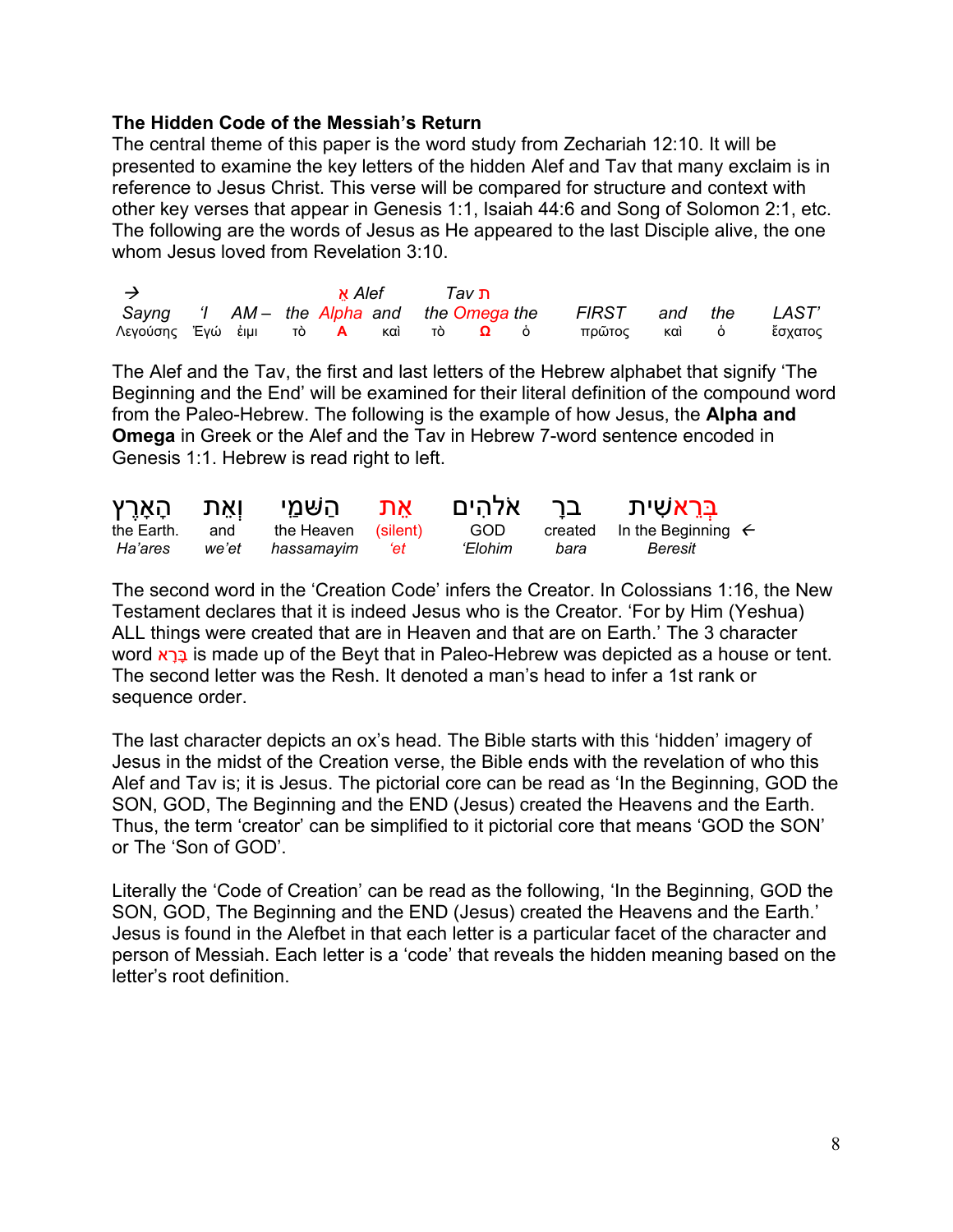## **The Hidden Code of the Messiah's Return**

The central theme of this paper is the word study from Zechariah 12:10. It will be presented to examine the key letters of the hidden Alef and Tav that many exclaim is in reference to Jesus Christ. This verse will be compared for structure and context with other key verses that appear in Genesis 1:1, Isaiah 44:6 and Song of Solomon 2:1, etc. The following are the words of Jesus as He appeared to the last Disciple alive, the one whom Jesus loved from Revelation 3:10

| $\rightarrow$ |  |  | Alef א | ת <i>Tav</i> |                                                              |  |  |
|---------------|--|--|--------|--------------|--------------------------------------------------------------|--|--|
|               |  |  |        |              | Sayng 'I AM- the Alpha and the Omega the FIRST and the LAST' |  |  |
|               |  |  |        |              | Λεγούσης Έγώ ἐιμι τὸ Α καὶ τὸ Ω ὁ πρῶτος καὶ ὁ ἔσχατος       |  |  |

The Alef and the Tav, the first and last letters of the Hebrew alphabet that signify 'The Beginning and the End' will be examined for their literal definition of the compound word from the Paleo-Hebrew. The following is the example of how Jesus, the **Alpha and Omega** in Greek or the Alef and the Tav in Hebrew 7-word sentence encoded in Genesis 1:1. Hebrew is read right to left.

| וְאֵת הָאָרֵץ |              | אַת הַשּׁמַ <b>י</b> |                                                                                                               | אלהים          | בר   | ב <u>ָּר</u> אשִׁית                   |  |
|---------------|--------------|----------------------|---------------------------------------------------------------------------------------------------------------|----------------|------|---------------------------------------|--|
| the Earth.    | and<br>we'et | the Heaven (silent)  |                                                                                                               | GOD<br>'Elohim |      | created In the Beginning $\leftarrow$ |  |
| Ha'ares       |              | hassamavim           | a termine termine and the series of the series of the series of the series of the series of the series of the |                | bara | Beresit                               |  |

The second word in the 'Creation Code' infers the Creator. In Colossians 1:16, the New Testament declares that it is indeed Jesus who is the Creator. 'For by Him (Yeshua) ALL things were created that are in Heaven and that are on Earth.' The 3 character word בְּרָא is made up of the Beyt that in Paleo-Hebrew was depicted as a house or tent. The second letter was the Resh. It denoted a man's head to infer a 1st rank or sequence order.

The last character depicts an ox's head. The Bible starts with this 'hidden' imagery of Jesus in the midst of the Creation verse, the Bible ends with the revelation of who this Alef and Tav is; it is Jesus. The pictorial core can be read as 'In the Beginning, GOD the SON, GOD, The Beginning and the END (Jesus) created the Heavens and the Earth. Thus, the term 'creator' can be simplified to it pictorial core that means 'GOD the SON' or The 'Son of GOD'.

Literally the 'Code of Creation' can be read as the following, 'In the Beginning, GOD the SON, GOD, The Beginning and the END (Jesus) created the Heavens and the Earth.' Jesus is found in the Alefbet in that each letter is a particular facet of the character and person of Messiah. Each letter is a 'code' that reveals the hidden meaning based on the letter's root definition.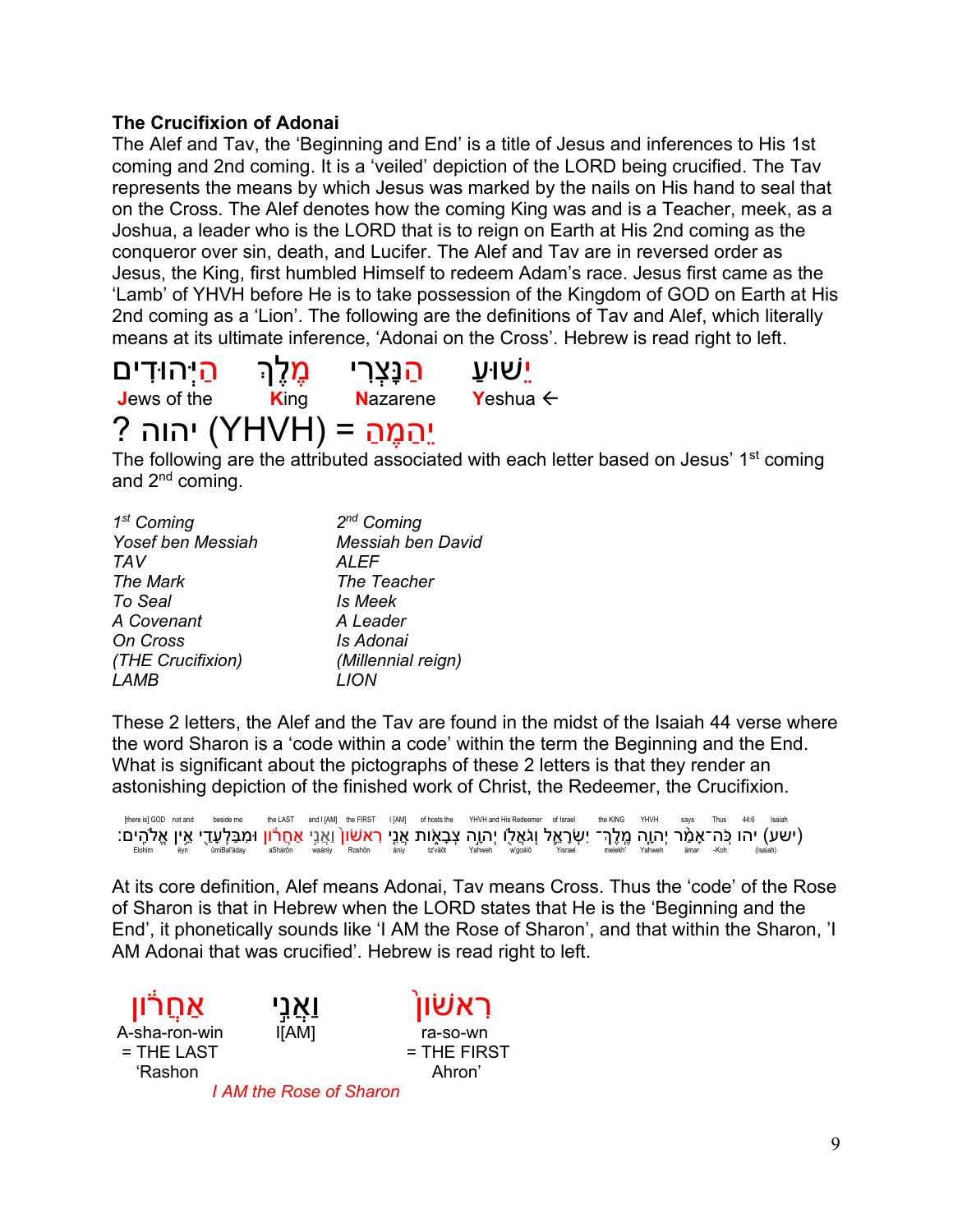## **The Crucifixion of Adonai**

The Alef and Tav, the 'Beginning and End' is a title of Jesus and inferences to His 1st coming and 2nd coming. It is a 'veiled' depiction of the LORD being crucified. The Tav represents the means by which Jesus was marked by the nails on His hand to seal that on the Cross. The Alef denotes how the coming King was and is a Teacher, meek, as a Joshua, a leader who is the LORD that is to reign on Earth at His 2nd coming as the conqueror over sin, death, and Lucifer. The Alef and Tav are in reversed order as Jesus, the King, first humbled Himself to redeem Adam's race. Jesus first came as the 'Lamb' of YHVH before He is to take possession of the Kingdom of GOD on Earth at His 2nd coming as a 'Lion'. The following are the definitions of Tav and Alef, which literally means at its ultimate inference, 'Adonai on the Cross'. Hebrew is read right to left.



The following are the attributed associated with each letter based on Jesus' 1<sup>st</sup> coming and 2nd coming.

| 1 <sup>st</sup> Coming | $2^{nd}$ Coming          |
|------------------------|--------------------------|
| Yosef ben Messiah      | <b>Messiah ben David</b> |
| <b>TAV</b>             | <b>ALEF</b>              |
| The Mark               | The Teacher              |
| To Seal                | Is Meek                  |
| A Covenant             | A Leader                 |
| On Cross               | Is Adonai                |
| (THE Crucifixion)      | (Millennial reign)       |
| <i>LAMB</i>            |                          |

These 2 letters, the Alef and the Tav are found in the midst of the Isaiah 44 verse where the word Sharon is a 'code within a code' within the term the Beginning and the End. What is significant about the pictographs of these 2 letters is that they render an astonishing depiction of the finished work of Christ, the Redeemer, the Crucifixion.

[there is] GOD not and beside me the LAST and I (AM] the FIRST I (AM] of hosts the YHVH and His Redeemer of Israel the KING YHVH says Thus 44:6 Isaiah (ישע) יהו כֶּה־אָמֶר יְהוֶה מֶלֶךֶ־ יִשְׂרָאֱל וְגֹּאֲלָו יְהוֶה צְבָאָות אֲנֵי רְאשׁון וַאֲנֵי אַחֲרֹון וּמִבַּלְעָדֵי אֵיָן אֱלֹהֶים:<br>Dimerataly asharon waning Roshon (salah) and Roshon waning Roshon (salah) ang "koh "

At its core definition, Alef means Adonai, Tav means Cross. Thus the 'code' of the Rose of Sharon is that in Hebrew when the LORD states that He is the 'Beginning and the End', it phonetically sounds like 'I AM the Rose of Sharon', and that within the Sharon, 'I AM Adonai that was crucified'. Hebrew is read right to left.

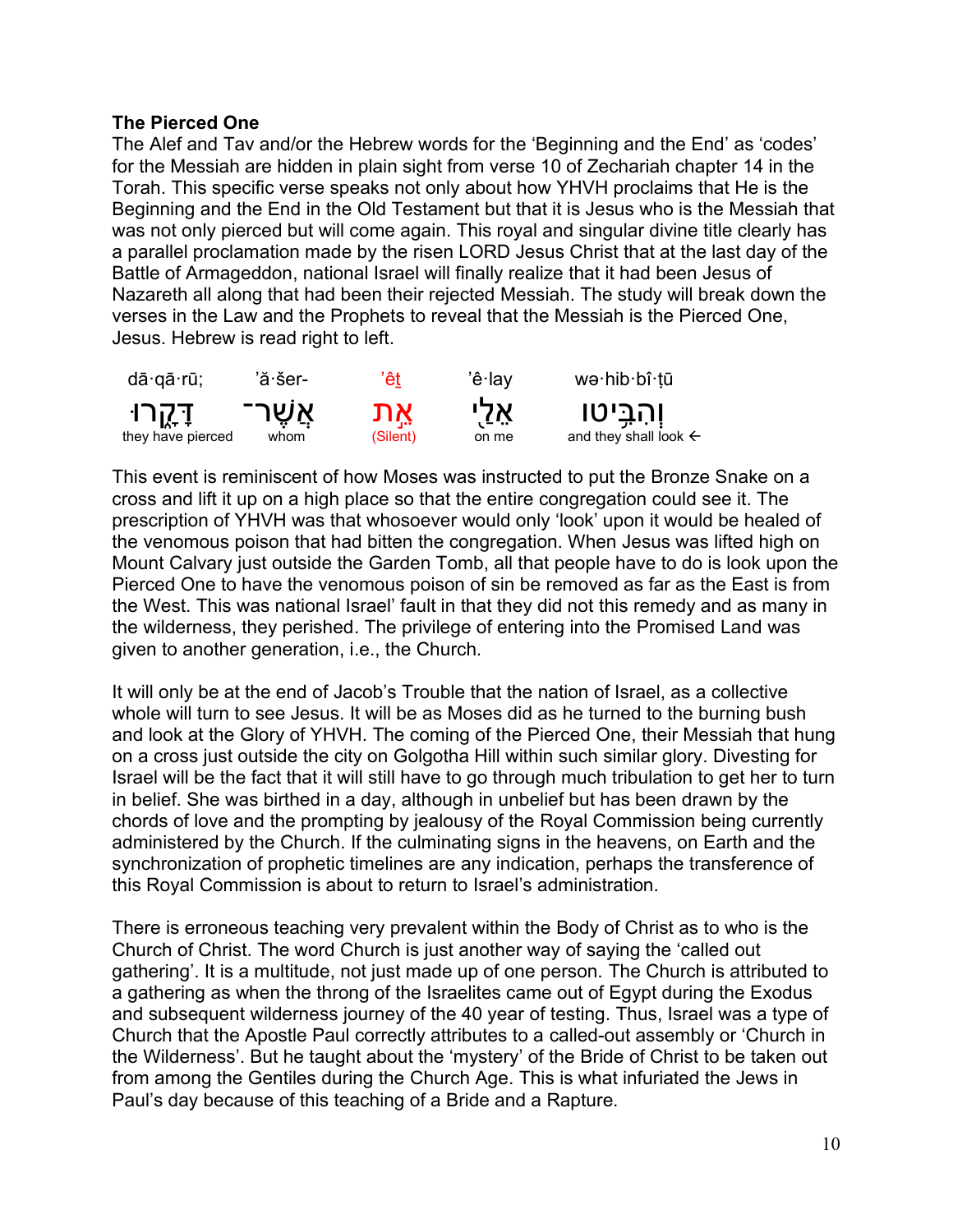## **The Pierced One**

The Alef and Tav and/or the Hebrew words for the 'Beginning and the End' as 'codes' for the Messiah are hidden in plain sight from verse 10 of Zechariah chapter 14 in the Torah. This specific verse speaks not only about how YHVH proclaims that He is the Beginning and the End in the Old Testament but that it is Jesus who is the Messiah that was not only pierced but will come again. This royal and singular divine title clearly has a parallel proclamation made by the risen LORD Jesus Christ that at the last day of the Battle of Armageddon, national Israel will finally realize that it had been Jesus of Nazareth all along that had been their rejected Messiah. The study will break down the verses in the Law and the Prophets to reveal that the Messiah is the Pierced One, Jesus. Hebrew is read right to left.



This event is reminiscent of how Moses was instructed to put the Bronze Snake on a cross and lift it up on a high place so that the entire congregation could see it. The prescription of YHVH was that whosoever would only 'look' upon it would be healed of the venomous poison that had bitten the congregation. When Jesus was lifted high on Mount Calvary just outside the Garden Tomb, all that people have to do is look upon the Pierced One to have the venomous poison of sin be removed as far as the East is from the West. This was national Israel' fault in that they did not this remedy and as many in the wilderness, they perished. The privilege of entering into the Promised Land was given to another generation, i.e., the Church.

It will only be at the end of Jacob's Trouble that the nation of Israel, as a collective whole will turn to see Jesus. It will be as Moses did as he turned to the burning bush and look at the Glory of YHVH. The coming of the Pierced One, their Messiah that hung on a cross just outside the city on Golgotha Hill within such similar glory. Divesting for Israel will be the fact that it will still have to go through much tribulation to get her to turn in belief. She was birthed in a day, although in unbelief but has been drawn by the chords of love and the prompting by jealousy of the Royal Commission being currently administered by the Church. If the culminating signs in the heavens, on Earth and the synchronization of prophetic timelines are any indication, perhaps the transference of this Royal Commission is about to return to Israel's administration.

There is erroneous teaching very prevalent within the Body of Christ as to who is the Church of Christ. The word Church is just another way of saying the 'called out gathering'. It is a multitude, not just made up of one person. The Church is attributed to a gathering as when the throng of the Israelites came out of Egypt during the Exodus and subsequent wilderness journey of the 40 year of testing. Thus, Israel was a type of Church that the Apostle Paul correctly attributes to a called-out assembly or 'Church in the Wilderness'. But he taught about the 'mystery' of the Bride of Christ to be taken out from among the Gentiles during the Church Age. This is what infuriated the Jews in Paul's day because of this teaching of a Bride and a Rapture.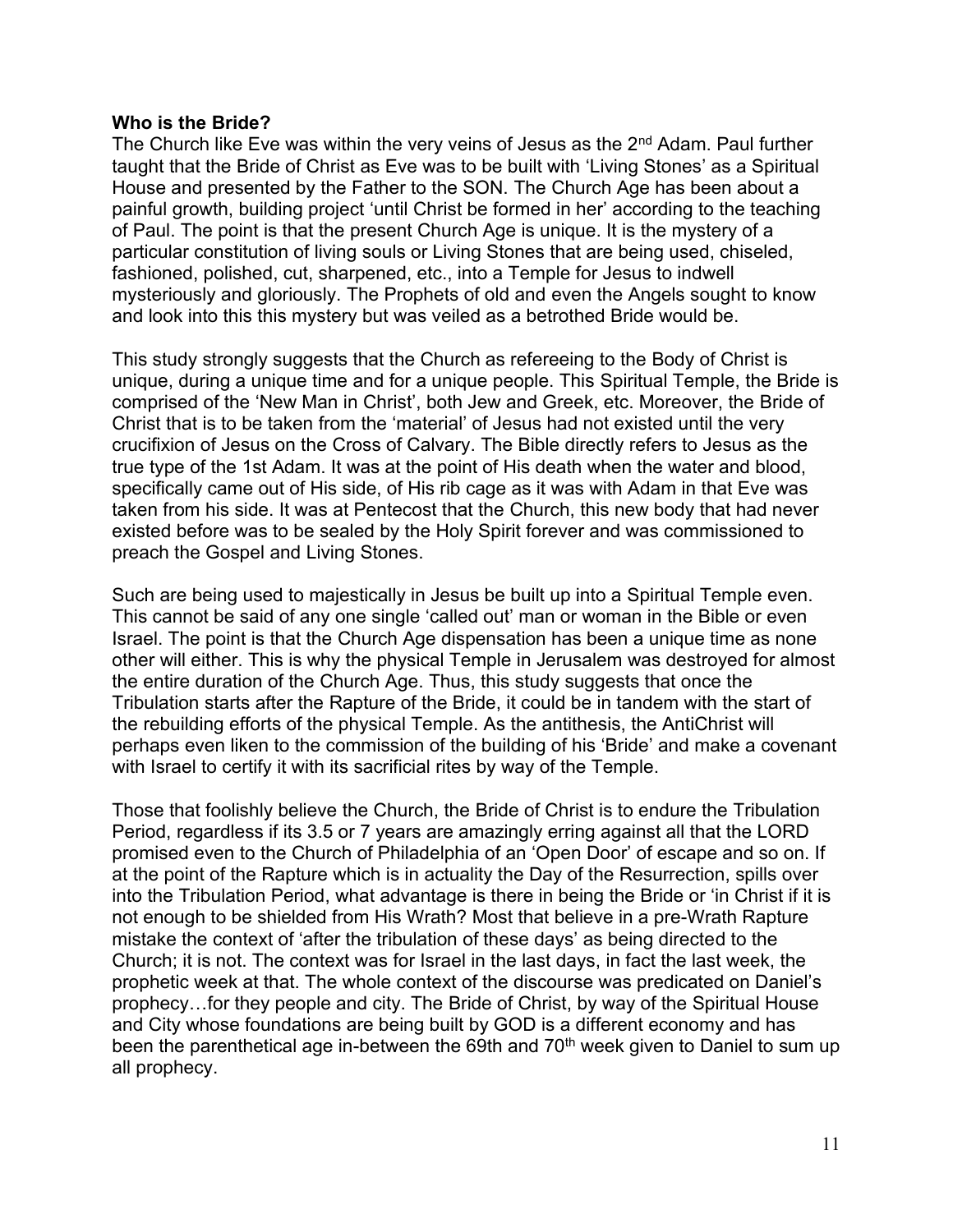#### **Who is the Bride?**

The Church like Eve was within the very veins of Jesus as the 2<sup>nd</sup> Adam. Paul further taught that the Bride of Christ as Eve was to be built with 'Living Stones' as a Spiritual House and presented by the Father to the SON. The Church Age has been about a painful growth, building project 'until Christ be formed in her' according to the teaching of Paul. The point is that the present Church Age is unique. It is the mystery of a particular constitution of living souls or Living Stones that are being used, chiseled, fashioned, polished, cut, sharpened, etc., into a Temple for Jesus to indwell mysteriously and gloriously. The Prophets of old and even the Angels sought to know and look into this this mystery but was veiled as a betrothed Bride would be.

This study strongly suggests that the Church as refereeing to the Body of Christ is unique, during a unique time and for a unique people. This Spiritual Temple, the Bride is comprised of the 'New Man in Christ', both Jew and Greek, etc. Moreover, the Bride of Christ that is to be taken from the 'material' of Jesus had not existed until the very crucifixion of Jesus on the Cross of Calvary. The Bible directly refers to Jesus as the true type of the 1st Adam. It was at the point of His death when the water and blood, specifically came out of His side, of His rib cage as it was with Adam in that Eve was taken from his side. It was at Pentecost that the Church, this new body that had never existed before was to be sealed by the Holy Spirit forever and was commissioned to preach the Gospel and Living Stones.

Such are being used to majestically in Jesus be built up into a Spiritual Temple even. This cannot be said of any one single 'called out' man or woman in the Bible or even Israel. The point is that the Church Age dispensation has been a unique time as none other will either. This is why the physical Temple in Jerusalem was destroyed for almost the entire duration of the Church Age. Thus, this study suggests that once the Tribulation starts after the Rapture of the Bride, it could be in tandem with the start of the rebuilding efforts of the physical Temple. As the antithesis, the AntiChrist will perhaps even liken to the commission of the building of his 'Bride' and make a covenant with Israel to certify it with its sacrificial rites by way of the Temple.

Those that foolishly believe the Church, the Bride of Christ is to endure the Tribulation Period, regardless if its 3.5 or 7 years are amazingly erring against all that the LORD promised even to the Church of Philadelphia of an 'Open Door' of escape and so on. If at the point of the Rapture which is in actuality the Day of the Resurrection, spills over into the Tribulation Period, what advantage is there in being the Bride or 'in Christ if it is not enough to be shielded from His Wrath? Most that believe in a pre-Wrath Rapture mistake the context of 'after the tribulation of these days' as being directed to the Church; it is not. The context was for Israel in the last days, in fact the last week, the prophetic week at that. The whole context of the discourse was predicated on Daniel's prophecy…for they people and city. The Bride of Christ, by way of the Spiritual House and City whose foundations are being built by GOD is a different economy and has been the parenthetical age in-between the 69th and 70<sup>th</sup> week given to Daniel to sum up all prophecy.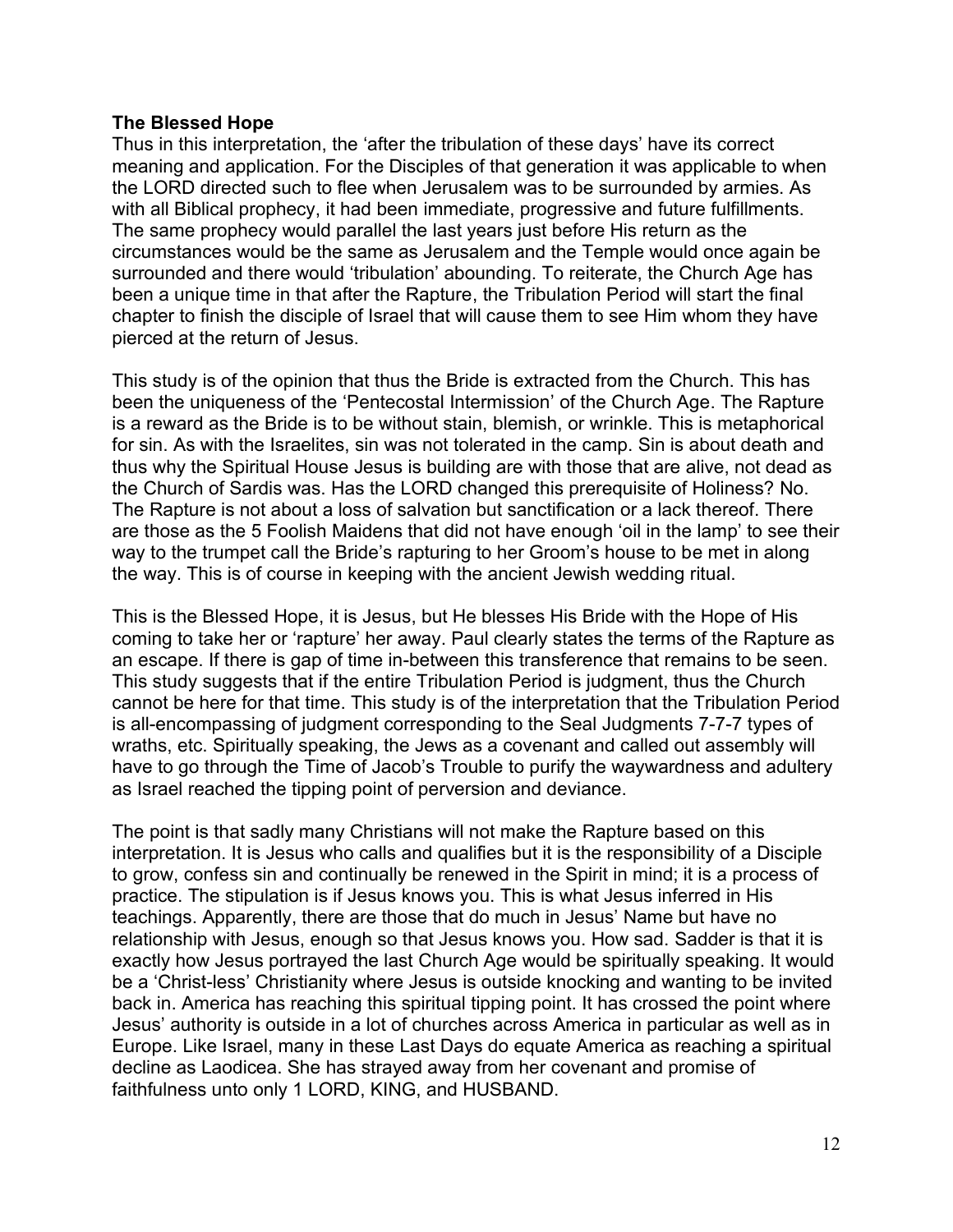## **The Blessed Hope**

Thus in this interpretation, the 'after the tribulation of these days' have its correct meaning and application. For the Disciples of that generation it was applicable to when the LORD directed such to flee when Jerusalem was to be surrounded by armies. As with all Biblical prophecy, it had been immediate, progressive and future fulfillments. The same prophecy would parallel the last years just before His return as the circumstances would be the same as Jerusalem and the Temple would once again be surrounded and there would 'tribulation' abounding. To reiterate, the Church Age has been a unique time in that after the Rapture, the Tribulation Period will start the final chapter to finish the disciple of Israel that will cause them to see Him whom they have pierced at the return of Jesus.

This study is of the opinion that thus the Bride is extracted from the Church. This has been the uniqueness of the 'Pentecostal Intermission' of the Church Age. The Rapture is a reward as the Bride is to be without stain, blemish, or wrinkle. This is metaphorical for sin. As with the Israelites, sin was not tolerated in the camp. Sin is about death and thus why the Spiritual House Jesus is building are with those that are alive, not dead as the Church of Sardis was. Has the LORD changed this prerequisite of Holiness? No. The Rapture is not about a loss of salvation but sanctification or a lack thereof. There are those as the 5 Foolish Maidens that did not have enough 'oil in the lamp' to see their way to the trumpet call the Bride's rapturing to her Groom's house to be met in along the way. This is of course in keeping with the ancient Jewish wedding ritual.

This is the Blessed Hope, it is Jesus, but He blesses His Bride with the Hope of His coming to take her or 'rapture' her away. Paul clearly states the terms of the Rapture as an escape. If there is gap of time in-between this transference that remains to be seen. This study suggests that if the entire Tribulation Period is judgment, thus the Church cannot be here for that time. This study is of the interpretation that the Tribulation Period is all-encompassing of judgment corresponding to the Seal Judgments 7-7-7 types of wraths, etc. Spiritually speaking, the Jews as a covenant and called out assembly will have to go through the Time of Jacob's Trouble to purify the waywardness and adultery as Israel reached the tipping point of perversion and deviance.

The point is that sadly many Christians will not make the Rapture based on this interpretation. It is Jesus who calls and qualifies but it is the responsibility of a Disciple to grow, confess sin and continually be renewed in the Spirit in mind; it is a process of practice. The stipulation is if Jesus knows you. This is what Jesus inferred in His teachings. Apparently, there are those that do much in Jesus' Name but have no relationship with Jesus, enough so that Jesus knows you. How sad. Sadder is that it is exactly how Jesus portrayed the last Church Age would be spiritually speaking. It would be a 'Christ-less' Christianity where Jesus is outside knocking and wanting to be invited back in. America has reaching this spiritual tipping point. It has crossed the point where Jesus' authority is outside in a lot of churches across America in particular as well as in Europe. Like Israel, many in these Last Days do equate America as reaching a spiritual decline as Laodicea. She has strayed away from her covenant and promise of faithfulness unto only 1 LORD, KING, and HUSBAND.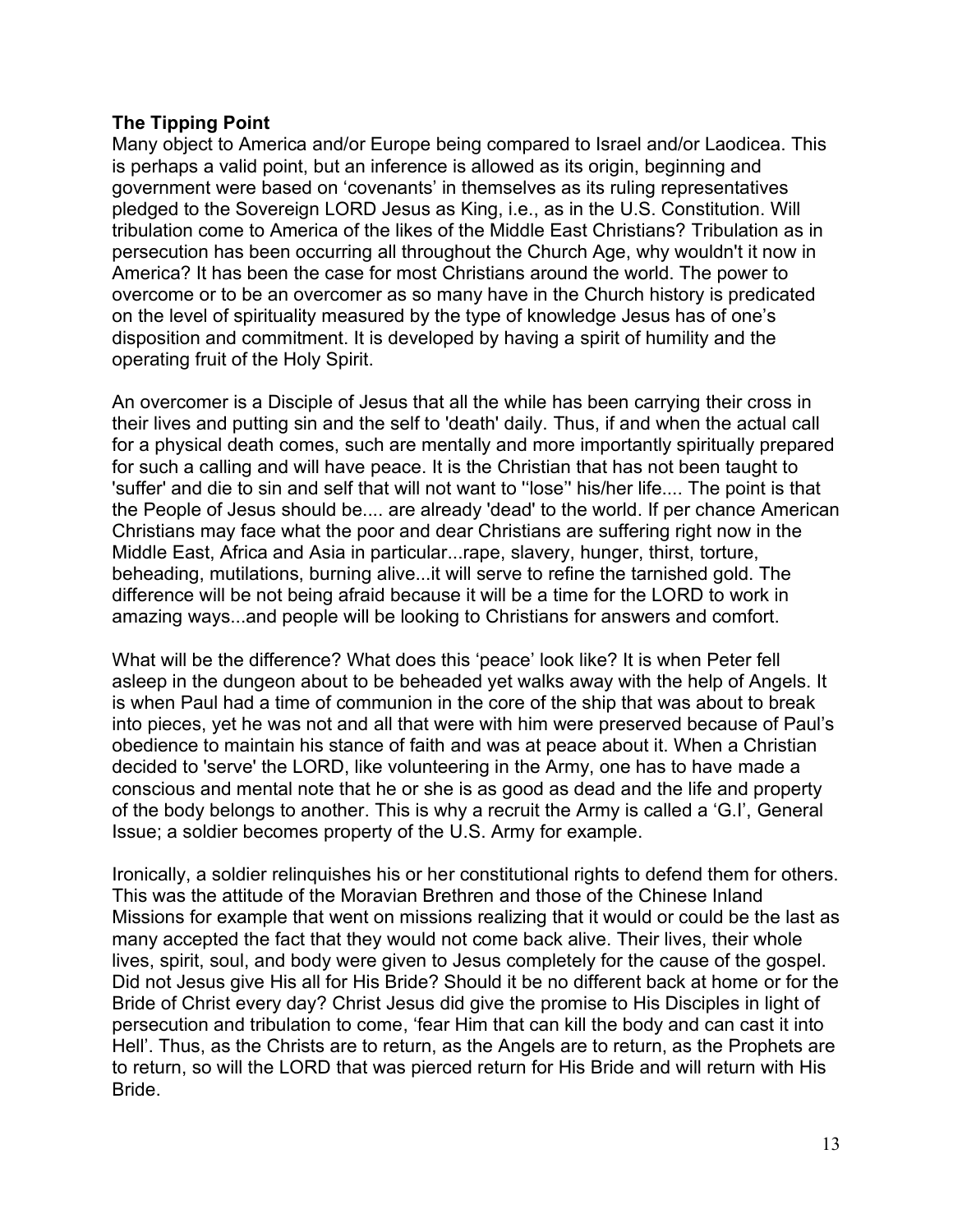## **The Tipping Point**

Many object to America and/or Europe being compared to Israel and/or Laodicea. This is perhaps a valid point, but an inference is allowed as its origin, beginning and government were based on 'covenants' in themselves as its ruling representatives pledged to the Sovereign LORD Jesus as King, i.e., as in the U.S. Constitution. Will tribulation come to America of the likes of the Middle East Christians? Tribulation as in persecution has been occurring all throughout the Church Age, why wouldn't it now in America? It has been the case for most Christians around the world. The power to overcome or to be an overcomer as so many have in the Church history is predicated on the level of spirituality measured by the type of knowledge Jesus has of one's disposition and commitment. It is developed by having a spirit of humility and the operating fruit of the Holy Spirit.

An overcomer is a Disciple of Jesus that all the while has been carrying their cross in their lives and putting sin and the self to 'death' daily. Thus, if and when the actual call for a physical death comes, such are mentally and more importantly spiritually prepared for such a calling and will have peace. It is the Christian that has not been taught to 'suffer' and die to sin and self that will not want to ''lose'' his/her life.... The point is that the People of Jesus should be.... are already 'dead' to the world. If per chance American Christians may face what the poor and dear Christians are suffering right now in the Middle East, Africa and Asia in particular...rape, slavery, hunger, thirst, torture, beheading, mutilations, burning alive...it will serve to refine the tarnished gold. The difference will be not being afraid because it will be a time for the LORD to work in amazing ways...and people will be looking to Christians for answers and comfort.

What will be the difference? What does this 'peace' look like? It is when Peter fell asleep in the dungeon about to be beheaded yet walks away with the help of Angels. It is when Paul had a time of communion in the core of the ship that was about to break into pieces, yet he was not and all that were with him were preserved because of Paul's obedience to maintain his stance of faith and was at peace about it. When a Christian decided to 'serve' the LORD, like volunteering in the Army, one has to have made a conscious and mental note that he or she is as good as dead and the life and property of the body belongs to another. This is why a recruit the Army is called a 'G.I', General Issue; a soldier becomes property of the U.S. Army for example.

Ironically, a soldier relinquishes his or her constitutional rights to defend them for others. This was the attitude of the Moravian Brethren and those of the Chinese Inland Missions for example that went on missions realizing that it would or could be the last as many accepted the fact that they would not come back alive. Their lives, their whole lives, spirit, soul, and body were given to Jesus completely for the cause of the gospel. Did not Jesus give His all for His Bride? Should it be no different back at home or for the Bride of Christ every day? Christ Jesus did give the promise to His Disciples in light of persecution and tribulation to come, 'fear Him that can kill the body and can cast it into Hell'. Thus, as the Christs are to return, as the Angels are to return, as the Prophets are to return, so will the LORD that was pierced return for His Bride and will return with His Bride.